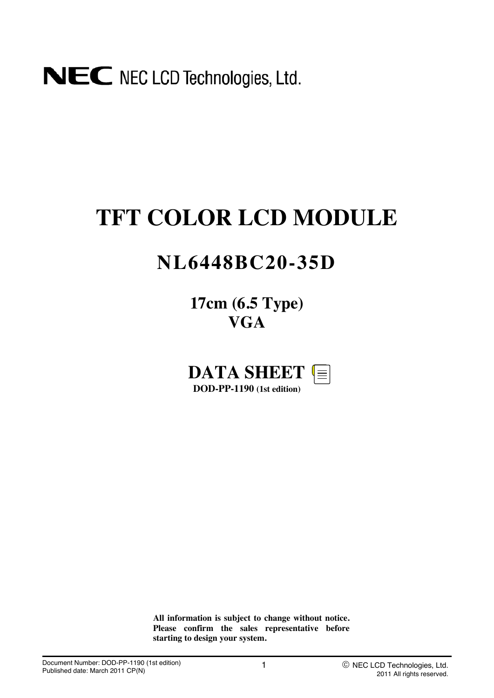# NEC NEC LCD Technologies, Ltd.

# **TFT COLOR LCD MODULE**

## **NL6448BC20-35D**

**17cm (6.5 Type) VGA**



**All information is subject to change without notice. Please confirm the sales representative before starting to design your system.**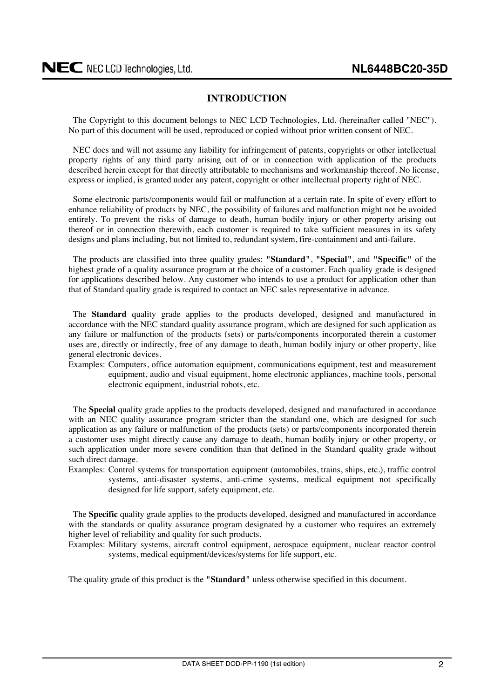#### **INTRODUCTION**

<span id="page-1-0"></span>The Copyright to this document belongs to NEC LCD Technologies, Ltd. (hereinafter called "NEC"). No part of this document will be used, reproduced or copied without prior written consent of NEC.

NEC does and will not assume any liability for infringement of patents, copyrights or other intellectual property rights of any third party arising out of or in connection with application of the products described herein except for that directly attributable to mechanisms and workmanship thereof. No license, express or implied, is granted under any patent, copyright or other intellectual property right of NEC.

Some electronic parts/components would fail or malfunction at a certain rate. In spite of every effort to enhance reliability of products by NEC, the possibility of failures and malfunction might not be avoided entirely. To prevent the risks of damage to death, human bodily injury or other property arising out thereof or in connection therewith, each customer is required to take sufficient measures in its safety designs and plans including, but not limited to, redundant system, fire-containment and anti-failure.

The products are classified into three quality grades: **"Standard"**, **"Special"**, and **"Specific"** of the highest grade of a quality assurance program at the choice of a customer. Each quality grade is designed for applications described below. Any customer who intends to use a product for application other than that of Standard quality grade is required to contact an NEC sales representative in advance.

The **Standard** quality grade applies to the products developed, designed and manufactured in accordance with the NEC standard quality assurance program, which are designed for such application as any failure or malfunction of the products (sets) or parts/components incorporated therein a customer uses are, directly or indirectly, free of any damage to death, human bodily injury or other property, like general electronic devices.

Examples: Computers, office automation equipment, communications equipment, test and measurement equipment, audio and visual equipment, home electronic appliances, machine tools, personal electronic equipment, industrial robots, etc.

The **Special** quality grade applies to the products developed, designed and manufactured in accordance with an NEC quality assurance program stricter than the standard one, which are designed for such application as any failure or malfunction of the products (sets) or parts/components incorporated therein a customer uses might directly cause any damage to death, human bodily injury or other property, or such application under more severe condition than that defined in the Standard quality grade without such direct damage.

Examples: Control systems for transportation equipment (automobiles, trains, ships, etc.), traffic control systems, anti-disaster systems, anti-crime systems, medical equipment not specifically designed for life support, safety equipment, etc.

The **Specific** quality grade applies to the products developed, designed and manufactured in accordance with the standards or quality assurance program designated by a customer who requires an extremely higher level of reliability and quality for such products.

Examples: Military systems, aircraft control equipment, aerospace equipment, nuclear reactor control systems, medical equipment/devices/systems for life support, etc.

The quality grade of this product is the **"Standard"** unless otherwise specified in this document.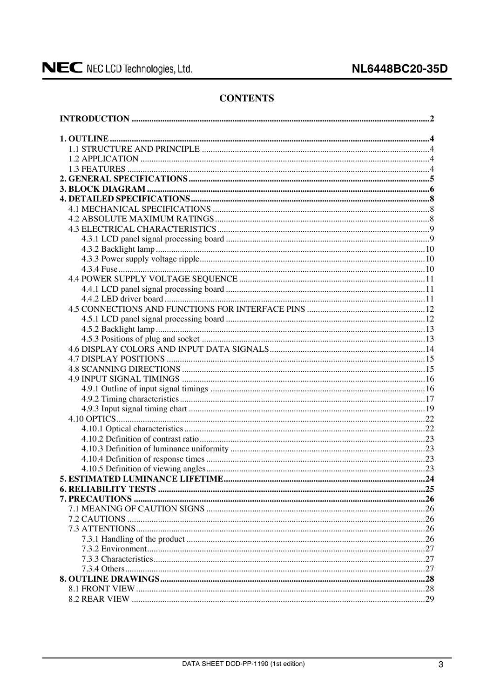#### **CONTENTS**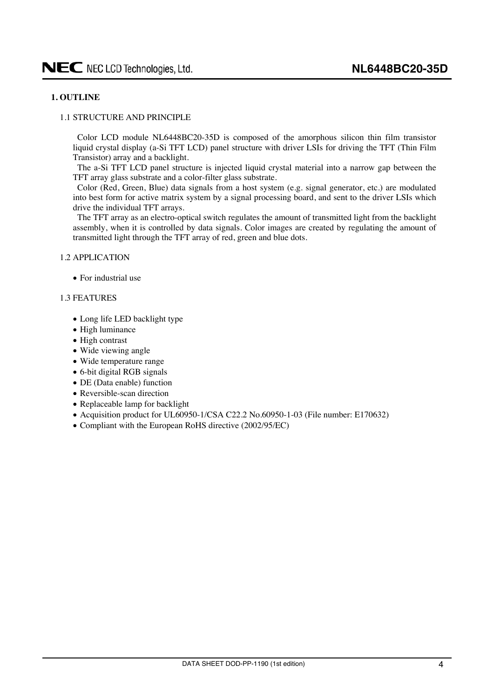#### <span id="page-3-0"></span>**1. OUTLINE**

#### 1.1 STRUCTURE AND PRINCIPLE

Color LCD module NL6448BC20-35D is composed of the amorphous silicon thin film transistor liquid crystal display (a-Si TFT LCD) panel structure with driver LSIs for driving the TFT (Thin Film Transistor) array and a backlight.

The a-Si TFT LCD panel structure is injected liquid crystal material into a narrow gap between the TFT array glass substrate and a color-filter glass substrate.

Color (Red, Green, Blue) data signals from a host system (e.g. signal generator, etc.) are modulated into best form for active matrix system by a signal processing board, and sent to the driver LSIs which drive the individual TFT arrays.

The TFT array as an electro-optical switch regulates the amount of transmitted light from the backlight assembly, when it is controlled by data signals. Color images are created by regulating the amount of transmitted light through the TFT array of red, green and blue dots.

#### 1.2 APPLICATION

 $\bullet$  For industrial use

#### 1.3 FEATURES

- Long life LED backlight type
- $\bullet$  High luminance
- High contrast
- Wide viewing angle
- Wide temperature range
- 6-bit digital RGB signals
- DE (Data enable) function
- Reversible-scan direction
- $\bullet$  Replaceable lamp for backlight
- Acquisition product for UL60950-1/CSA C22.2 No.60950-1-03 (File number: E170632)
- Compliant with the European RoHS directive (2002/95/EC)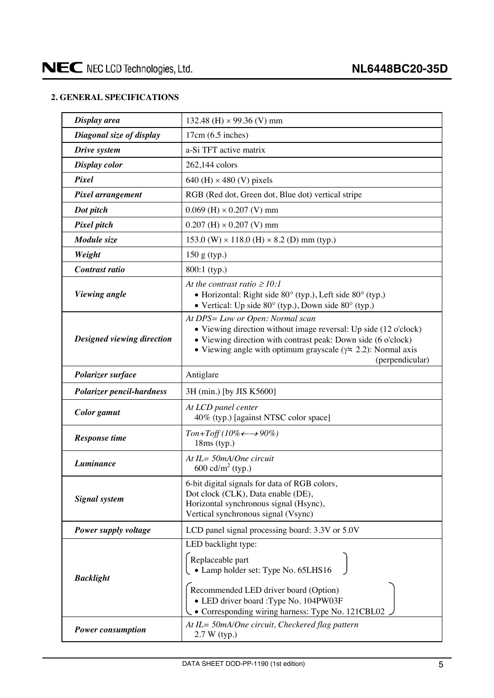#### <span id="page-4-0"></span>**2. GENERAL SPECIFICATIONS**

| Display area                     | 132.48 (H) $\times$ 99.36 (V) mm                                                                                                                                                                                                                                  |
|----------------------------------|-------------------------------------------------------------------------------------------------------------------------------------------------------------------------------------------------------------------------------------------------------------------|
| Diagonal size of display         | $17cm(6.5$ inches)                                                                                                                                                                                                                                                |
| Drive system                     | a-Si TFT active matrix                                                                                                                                                                                                                                            |
| Display color                    | 262,144 colors                                                                                                                                                                                                                                                    |
| Pixel                            | 640 (H) $\times$ 480 (V) pixels                                                                                                                                                                                                                                   |
| Pixel arrangement                | RGB (Red dot, Green dot, Blue dot) vertical stripe                                                                                                                                                                                                                |
| Dot pitch                        | $0.069$ (H) $\times$ 0.207 (V) mm                                                                                                                                                                                                                                 |
| Pixel pitch                      | $0.207$ (H) $\times$ 0.207 (V) mm                                                                                                                                                                                                                                 |
| Module size                      | $153.0$ (W) $\times$ 118.0 (H) $\times$ 8.2 (D) mm (typ.)                                                                                                                                                                                                         |
| Weight                           | $150 g$ (typ.)                                                                                                                                                                                                                                                    |
| Contrast ratio                   | 800:1 (typ.)                                                                                                                                                                                                                                                      |
| Viewing angle                    | At the contrast ratio $\geq 10$ :<br>• Horizontal: Right side $80^\circ$ (typ.), Left side $80^\circ$ (typ.)<br>• Vertical: Up side $80^{\circ}$ (typ.), Down side $80^{\circ}$ (typ.)                                                                            |
| Designed viewing direction       | At DPS= Low or Open: Normal scan<br>• Viewing direction without image reversal: Up side (12 o'clock)<br>• Viewing direction with contrast peak: Down side (6 o'clock)<br>• Viewing angle with optimum grayscale ( $\gamma$ = 2.2): Normal axis<br>(perpendicular) |
| Polarizer surface                | Antiglare                                                                                                                                                                                                                                                         |
| <b>Polarizer pencil-hardness</b> | 3H (min.) [by JIS K5600]                                                                                                                                                                                                                                          |
| Color gamut                      | At LCD panel center<br>40% (typ.) [against NTSC color space]                                                                                                                                                                                                      |
| <b>Response time</b>             | $Ton+Toff(10\% \leftarrow \rightarrow 90\%)$<br>$18ms$ (typ.)                                                                                                                                                                                                     |
| Luminance                        | At IL= 50mA/One circuit<br>600 cd/m <sup>2</sup> (typ.)                                                                                                                                                                                                           |
| <b>Signal</b> system             | 6-bit digital signals for data of RGB colors,<br>Dot clock (CLK), Data enable (DE),<br>Horizontal synchronous signal (Hsync),<br>Vertical synchronous signal (Vsync)                                                                                              |
| Power supply voltage             | LCD panel signal processing board: 3.3V or 5.0V                                                                                                                                                                                                                   |
| <b>Backlight</b>                 | LED backlight type:<br>Replaceable part<br>• Lamp holder set: Type No. 65LHS16<br>Recommended LED driver board (Option)<br>• LED driver board : Type No. 104PW03F<br>• Corresponding wiring harness: Type No. 121CBL02.                                           |
| <b>Power consumption</b>         | At IL= 50mA/One circuit, Checkered flag pattern<br>2.7 W (typ.)                                                                                                                                                                                                   |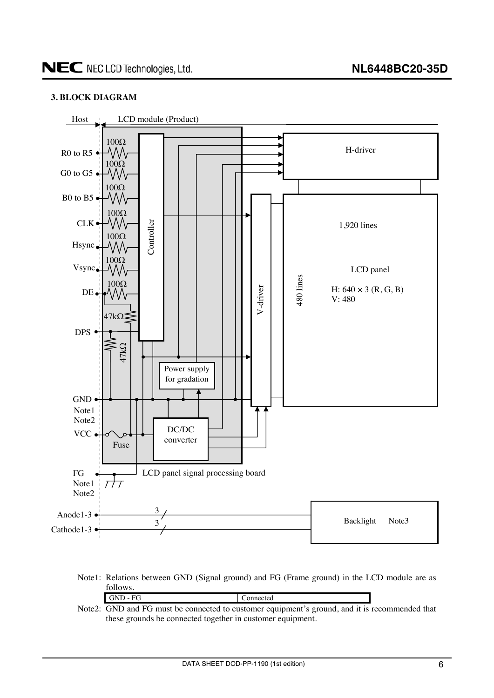#### <span id="page-5-0"></span>**3. BLOCK DIAGRAM**



Note1: Relations between GND (Signal ground) and FG (Frame ground) in the LCD module are as follows.

| GND - FG                                                                                       | Connected |  |
|------------------------------------------------------------------------------------------------|-----------|--|
| Note2: GND and FG must be connected to customer equipment's ground, and it is recommended that |           |  |

these grounds be connected together in customer equipment.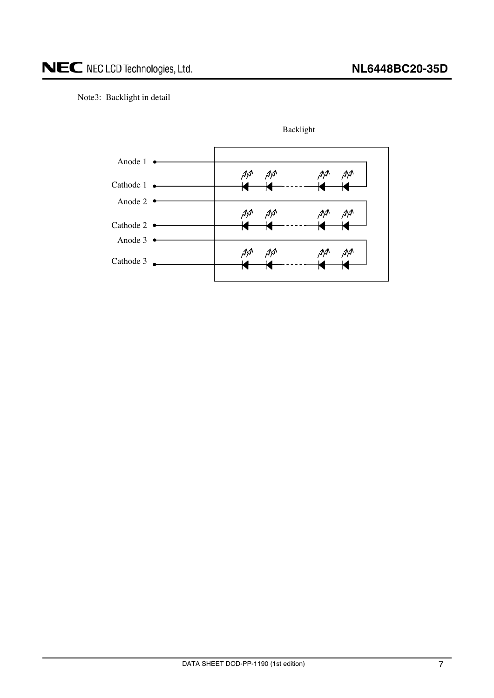Note3: Backlight in detail



Backlight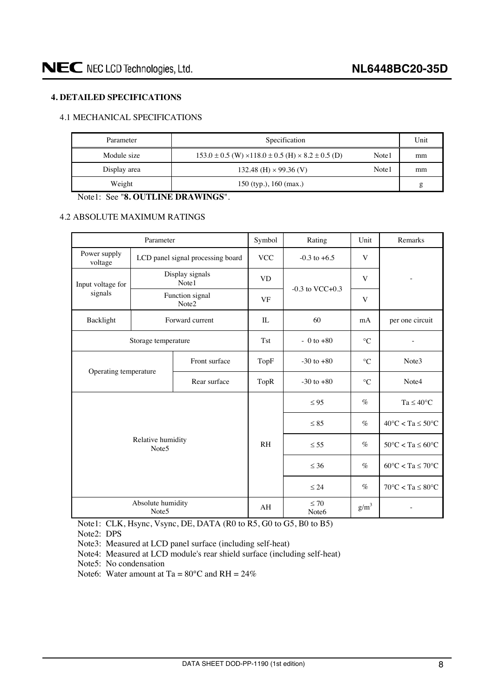#### <span id="page-7-0"></span>**4. DETAILED SPECIFICATIONS**

#### 4.1 MECHANICAL SPECIFICATIONS

| Parameter    | Specification                                                               | Unit  |    |
|--------------|-----------------------------------------------------------------------------|-------|----|
| Module size  | $153.0 \pm 0.5$ (W) $\times$ 118.0 $\pm$ 0.5 (H) $\times$ 8.2 $\pm$ 0.5 (D) | Note1 | mm |
| Display area | 132.48 (H) $\times$ 99.36 (V)                                               | Note1 | mm |
| Weight       | $150$ (typ.), $160$ (max.)                                                  |       | g  |

Note1: See "**8. OUTLINE DRAWINGS**".

#### 4.2 ABSOLUTE MAXIMUM RATINGS

|                         | Parameter                              |                                   | Symbol     | Rating               | Unit                                    | Remarks                                 |
|-------------------------|----------------------------------------|-----------------------------------|------------|----------------------|-----------------------------------------|-----------------------------------------|
| Power supply<br>voltage |                                        | LCD panel signal processing board | <b>VCC</b> | $-0.3$ to $+6.5$     | V                                       |                                         |
| Input voltage for       | Display signals<br>Note1               |                                   | <b>VD</b>  | $-0.3$ to VCC $+0.3$ | V                                       |                                         |
| signals                 |                                        | Function signal<br>Note2          | <b>VF</b>  |                      | V                                       |                                         |
| Backlight               |                                        | Forward current                   | $\Pi$ .    | 60                   | mA                                      | per one circuit                         |
|                         | Storage temperature                    |                                   | <b>Tst</b> | $-0$ to $+80$        | $\rm ^{\circ}C$                         | $\overline{\phantom{a}}$                |
|                         |                                        | Front surface                     | TopF       | $-30$ to $+80$       | $\rm ^{\circ}C$                         | Note3                                   |
| Operating temperature   |                                        | Rear surface                      | TopR       | $-30$ to $+80$       | $\circ$ C                               | Note4                                   |
|                         |                                        |                                   |            | $\leq 95$            | $\%$                                    | $Ta \leq 40^{\circ}C$                   |
|                         |                                        |                                   |            | $\leq 85$            | $\%$                                    | $40^{\circ}$ C < Ta $\leq 50^{\circ}$ C |
|                         | Relative humidity<br>Note <sub>5</sub> |                                   | <b>RH</b>  | $\leq 55$            | $\%$                                    | $50^{\circ}$ C < Ta $\leq 60^{\circ}$ C |
|                         |                                        |                                   | $\leq 36$  | $\%$                 | $60^{\circ}$ C < Ta $\leq 70^{\circ}$ C |                                         |
|                         |                                        |                                   |            | $\leq 24$            | $\%$                                    | $70^{\circ}$ C < Ta $\leq 80^{\circ}$ C |
|                         | Absolute humidity<br>Note <sub>5</sub> |                                   | AH         | $\leq 70$<br>Note6   | $g/m^3$                                 |                                         |

Note1: CLK, Hsync, Vsync, DE, DATA (R0 to R5, G0 to G5, B0 to B5)

Note2: DPS

Note3: Measured at LCD panel surface (including self-heat)

Note4: Measured at LCD module's rear shield surface (including self-heat)

Note5: No condensation

Note6: Water amount at Ta =  $80^{\circ}$ C and RH =  $24\%$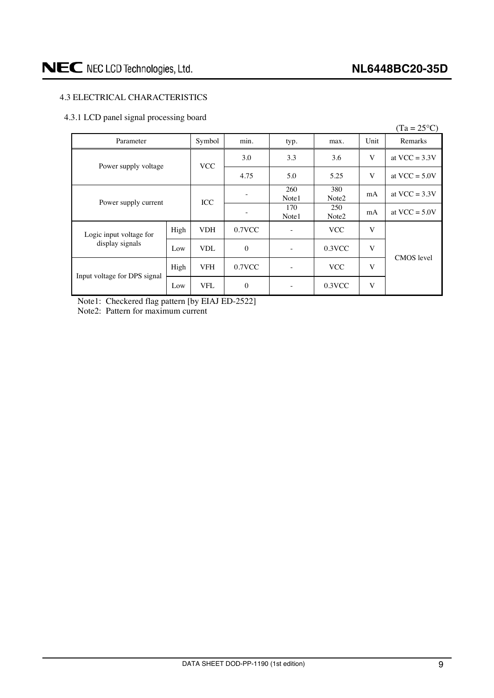#### <span id="page-8-0"></span>4.3 ELECTRICAL CHARACTERISTICS

#### 4.3.1 LCD panel signal processing board

|                              |      |            |              |                   |                          |      | $(Ta = 25^{\circ}C)$ |
|------------------------------|------|------------|--------------|-------------------|--------------------------|------|----------------------|
| Parameter                    |      | Symbol     | min.         | typ.              | max.                     | Unit | Remarks              |
| Power supply voltage         |      | <b>VCC</b> | 3.0          | 3.3               | 3.6                      | V    | at $VCC = 3.3V$      |
|                              |      |            | 4.75         | 5.0               | 5.25                     | V    | at $VCC = 5.0V$      |
| Power supply current         |      | ICC        |              | 260<br>Note1      | 380<br>Note <sub>2</sub> | mA   | at $VCC = 3.3V$      |
|                              |      |            |              | 170<br>Note1      | 250<br>Note2             | mA   | at $VCC = 5.0V$      |
| Logic input voltage for      | High | <b>VDH</b> | $0.7$ VCC    | $\qquad \qquad -$ | <b>VCC</b>               | V    |                      |
| display signals              | Low  | <b>VDL</b> | $\mathbf{0}$ | ٠                 | $0.3$ VCC                | V    | <b>CMOS</b> level    |
|                              | High | <b>VFH</b> | $0.7$ VCC    | $\qquad \qquad -$ | <b>VCC</b>               | V    |                      |
| Input voltage for DPS signal | Low  | <b>VFL</b> | $\mathbf{0}$ |                   | 0.3VCC                   | V    |                      |

Note1: Checkered flag pattern [by EIAJ ED-2522] Note2: Pattern for maximum current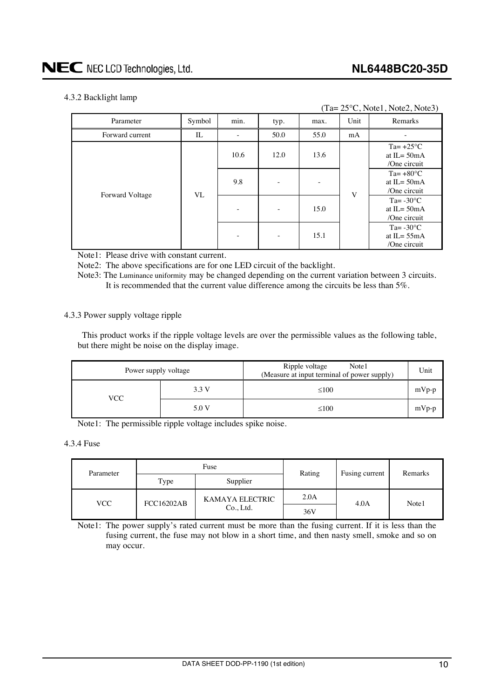#### <span id="page-9-0"></span>4.3.2 Backlight lamp

|                 | $(Ta=25\degree C, Note1, Note2, Note3)$ |          |      |      |                                                       |                                                       |                                                      |  |  |  |
|-----------------|-----------------------------------------|----------|------|------|-------------------------------------------------------|-------------------------------------------------------|------------------------------------------------------|--|--|--|
| Parameter       | Symbol                                  | min.     | typ. | max. | Unit                                                  | Remarks                                               |                                                      |  |  |  |
| Forward current | IL                                      |          | 50.0 | 55.0 | mA                                                    |                                                       |                                                      |  |  |  |
|                 |                                         | 10.6     | 12.0 | 13.6 |                                                       | Ta= $+25^{\circ}$ C<br>at IL= $50mA$<br>/One circuit  |                                                      |  |  |  |
| Forward Voltage | VL                                      | 9.8<br>- |      | V    | Ta= $+80^{\circ}$ C<br>at $IL = 50mA$<br>/One circuit |                                                       |                                                      |  |  |  |
|                 |                                         |          |      | -    | 15.0                                                  |                                                       | Ta= $-30^{\circ}$ C<br>at IL= $50mA$<br>/One circuit |  |  |  |
|                 |                                         |          | -    | 15.1 |                                                       | Ta= $-30^{\circ}$ C<br>at $IL = 55mA$<br>/One circuit |                                                      |  |  |  |

Note1: Please drive with constant current.

Note2: The above specifications are for one LED circuit of the backlight.

Note3: The Luminance uniformity may be changed depending on the current variation between 3 circuits. It is recommended that the current value difference among the circuits be less than 5%.

#### 4.3.3 Power supply voltage ripple

This product works if the ripple voltage levels are over the permissible values as the following table, but there might be noise on the display image.

| Power supply voltage |       | Ripple voltage<br>Note1<br>(Measure at input terminal of power supply) | Unit    |
|----------------------|-------|------------------------------------------------------------------------|---------|
| VCC-                 | 3.3 V | $\leq 100$                                                             | $mVp-p$ |
|                      | 5.0 V | $\leq 100$                                                             | $mVp-p$ |

Note1: The permissible ripple voltage includes spike noise.

#### 4.3.4 Fuse

| Parameter |                   | Fuse            | Rating | Fusing current | Remarks |  |
|-----------|-------------------|-----------------|--------|----------------|---------|--|
|           | Type              | Supplier        |        |                |         |  |
|           | <b>FCC16202AB</b> | KAMAYA ELECTRIC | 2.0A   | 4.0A           | Note1   |  |
| VCC       | Co., Ltd.         |                 | 36V    |                |         |  |

Note1: The power supply's rated current must be more than the fusing current. If it is less than the fusing current, the fuse may not blow in a short time, and then nasty smell, smoke and so on may occur.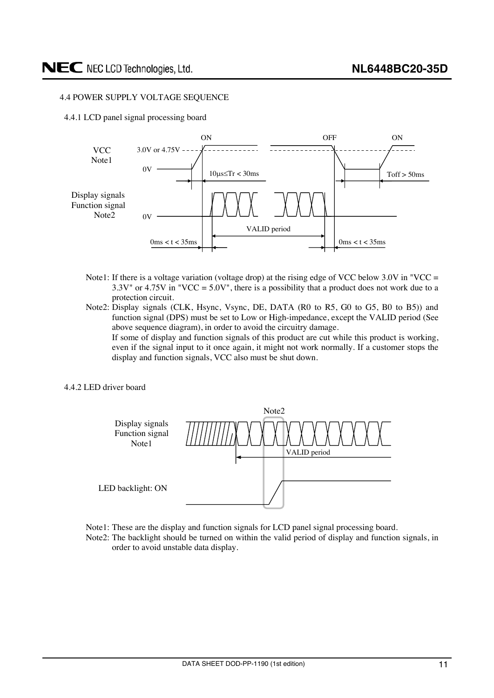#### <span id="page-10-0"></span>4.4 POWER SUPPLY VOLTAGE SEQUENCE

4.4.1 LCD panel signal processing board



- Note1: If there is a voltage variation (voltage drop) at the rising edge of VCC below  $3.0V$  in "VCC =  $3.3V^{\prime\prime}$  or  $4.75V$  in "VCC =  $5.0V^{\prime\prime}$ , there is a possibility that a product does not work due to a protection circuit.
- Note2: Display signals (CLK, Hsync, Vsync, DE, DATA (R0 to R5, G0 to G5, B0 to B5)) and function signal (DPS) must be set to Low or High-impedance, except the VALID period (See above sequence diagram), in order to avoid the circuitry damage.

 If some of display and function signals of this product are cut while this product is working, even if the signal input to it once again, it might not work normally. If a customer stops the display and function signals, VCC also must be shut down.

4.4.2 LED driver board



- Note1: These are the display and function signals for LCD panel signal processing board.
- Note2: The backlight should be turned on within the valid period of display and function signals, in order to avoid unstable data display.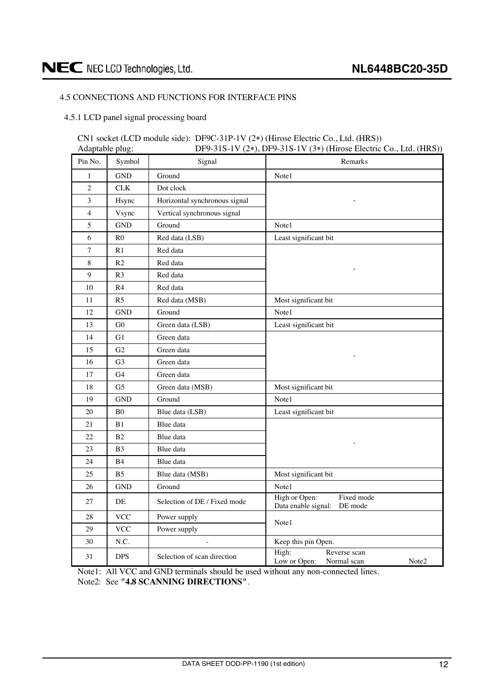#### <span id="page-11-0"></span>4.5 CONNECTIONS AND FUNCTIONS FOR INTERFACE PINS

4.5.1 LCD panel signal processing board

#### CN1 socket (LCD module side): DF9C-31P-1V (2\*) (Hirose Electric Co., Ltd. (HRS))<br>Adaptable plug: DF9-31S-1V (2\*), DF9-31S-1V (3\*) (Hirose Electric  $DF9-31S-1V (2*)$ ,  $DF9-31S-1V (3*)$  (Hirose Electric Co., Ltd. (HRS))

| Pin No.        | Symbol         | Signal                        | Remarks                                                       |
|----------------|----------------|-------------------------------|---------------------------------------------------------------|
| $\mathbf{1}$   | GND            | Ground                        | Note1                                                         |
| $\overline{c}$ | CLK            | Dot clock                     |                                                               |
| 3              | Hsync          | Horizontal synchronous signal |                                                               |
| $\overline{4}$ | Vsync          | Vertical synchronous signal   |                                                               |
| 5              | <b>GND</b>     | Ground                        | Note1                                                         |
| 6              | R <sub>0</sub> | Red data (LSB)                | Least significant bit                                         |
| 7              | R1             | Red data                      |                                                               |
| $8\,$          | R <sub>2</sub> | Red data                      |                                                               |
| 9              | R <sub>3</sub> | Red data                      |                                                               |
| 10             | R4             | Red data                      |                                                               |
| 11             | R <sub>5</sub> | Red data (MSB)                | Most significant bit                                          |
| 12             | <b>GND</b>     | Ground                        | Note1                                                         |
| 13             | G0             | Green data (LSB)              | Least significant bit                                         |
| 14             | G1             | Green data                    |                                                               |
| 15             | G <sub>2</sub> | Green data                    |                                                               |
| 16             | G <sub>3</sub> | Green data                    |                                                               |
| 17             | G4             | Green data                    |                                                               |
| 18             | G <sub>5</sub> | Green data (MSB)              | Most significant bit                                          |
| 19             | <b>GND</b>     | Ground                        | Note1                                                         |
| 20             | B <sub>0</sub> | Blue data (LSB)               | Least significant bit                                         |
| 21             | B1             | Blue data                     |                                                               |
| 22             | B <sub>2</sub> | Blue data                     |                                                               |
| 23             | B <sub>3</sub> | Blue data                     |                                                               |
| 24             | <b>B4</b>      | Blue data                     |                                                               |
| 25             | B <sub>5</sub> | Blue data (MSB)               | Most significant bit                                          |
| 26             | <b>GND</b>     | Ground                        | Note1                                                         |
| 27             | DE             | Selection of DE / Fixed mode  | Fixed mode<br>High or Open:<br>Data enable signal:<br>DE mode |
| 28             | <b>VCC</b>     | Power supply                  | Note1                                                         |
| 29             | <b>VCC</b>     | Power supply                  |                                                               |
| 30             | N.C.           | ÷,                            | Keep this pin Open.                                           |
| 31             | <b>DPS</b>     | Selection of scan direction   | High:<br>Reverse scan<br>Low or Open:<br>Note2<br>Normal scan |

Note1: All VCC and GND terminals should be used without any non-connected lines. Note2: See **"4.8 SCANNING DIRECTIONS"**.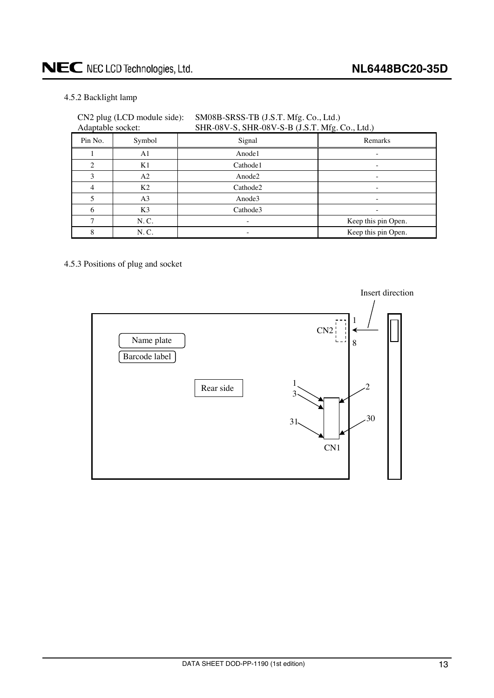#### <span id="page-12-0"></span>4.5.2 Backlight lamp

| Adaptable socket: | CN2 plug (LCD module side): | SM08B-SRSS-TB (J.S.T. Mfg. Co., Ltd.)<br>SHR-08V-S, SHR-08V-S-B (J.S.T. Mfg. Co., Ltd.) |                     |
|-------------------|-----------------------------|-----------------------------------------------------------------------------------------|---------------------|
| Pin No.           | Symbol                      | Signal                                                                                  | Remarks             |
|                   | A1                          | Anode1                                                                                  |                     |
| $\overline{c}$    | K1                          | Cathode1                                                                                |                     |
| 3                 | A <sub>2</sub>              | Anode2                                                                                  |                     |
| $\overline{4}$    | K <sub>2</sub>              | Cathode2                                                                                |                     |
| 5                 | A <sub>3</sub>              | Anode3                                                                                  |                     |
| 6                 | K <sub>3</sub>              | Cathode3                                                                                |                     |
| 7                 | N.C.                        |                                                                                         | Keep this pin Open. |
| 8                 | N.C.                        |                                                                                         | Keep this pin Open. |

#### 4.5.3 Positions of plug and socket

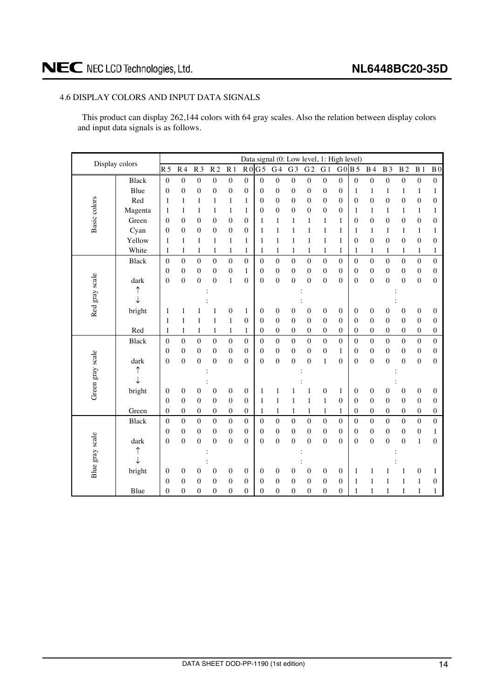#### <span id="page-13-0"></span>4.6 DISPLAY COLORS AND INPUT DATA SIGNALS

This product can display 262,144 colors with 64 gray scales. Also the relation between display colors and input data signals is as follows.

| Display colors   |              |                  |                  |                  |                  |                  |                  |                  | Data signal (0: Low level, 1: High level) |                  |                  |                  |                  |                  |                  |                  |                  |                  |                  |
|------------------|--------------|------------------|------------------|------------------|------------------|------------------|------------------|------------------|-------------------------------------------|------------------|------------------|------------------|------------------|------------------|------------------|------------------|------------------|------------------|------------------|
|                  |              | R <sub>5</sub>   | R <sub>4</sub>   | R <sub>3</sub>   | R <sub>2</sub>   | R <sub>1</sub>   | R <sub>0</sub>   | G <sub>5</sub>   | G <sub>4</sub>                            | G <sub>3</sub>   | G <sub>2</sub>   | G <sub>1</sub>   |                  | G0B5             | <b>B</b> 4       | <b>B</b> 3       | B <sub>2</sub>   | B <sub>1</sub>   | B <sub>0</sub>   |
|                  | <b>Black</b> | $\boldsymbol{0}$ | $\boldsymbol{0}$ | $\boldsymbol{0}$ | $\boldsymbol{0}$ | $\boldsymbol{0}$ | $\boldsymbol{0}$ | $\boldsymbol{0}$ | $\boldsymbol{0}$                          | $\boldsymbol{0}$ | $\boldsymbol{0}$ | $\boldsymbol{0}$ | $\boldsymbol{0}$ | $\boldsymbol{0}$ | $\boldsymbol{0}$ | $\boldsymbol{0}$ | $\boldsymbol{0}$ | $\boldsymbol{0}$ | $\boldsymbol{0}$ |
|                  | Blue         | $\overline{0}$   | $\boldsymbol{0}$ | $\boldsymbol{0}$ | $\mathbf{0}$     | $\boldsymbol{0}$ | $\overline{0}$   | $\mathbf{0}$     | $\boldsymbol{0}$                          | $\boldsymbol{0}$ | $\boldsymbol{0}$ | $\boldsymbol{0}$ | $\boldsymbol{0}$ | 1                | $\mathbf{1}$     | $\mathbf{1}$     | $\mathbf{1}$     | $\,1$            | $\mathbf{1}$     |
| Basic colors     | Red          | 1                | $\mathbf{1}$     | 1                | 1                | $\mathbf{1}$     | 1                | $\boldsymbol{0}$ | $\boldsymbol{0}$                          | $\boldsymbol{0}$ | $\boldsymbol{0}$ | $\boldsymbol{0}$ | $\boldsymbol{0}$ | $\boldsymbol{0}$ | $\boldsymbol{0}$ | $\boldsymbol{0}$ | $\mathbf{0}$     | $\boldsymbol{0}$ | $\boldsymbol{0}$ |
|                  | Magenta      | $\mathbf{1}$     | 1                | 1                | 1                | $\mathbf{1}$     | $\mathbf{1}$     | $\boldsymbol{0}$ | $\mathbf{0}$                              | $\boldsymbol{0}$ | $\boldsymbol{0}$ | 0                | $\boldsymbol{0}$ | 1                | 1                | 1                | $\mathbf{1}$     | $\mathbf{1}$     | 1                |
|                  | Green        | $\overline{0}$   | $\boldsymbol{0}$ | $\boldsymbol{0}$ | $\boldsymbol{0}$ | $\boldsymbol{0}$ | $\boldsymbol{0}$ | $\mathbf{1}$     | $\mathbf{1}$                              | 1                | 1                | 1                | $\,1$            | $\mathbf{0}$     | $\boldsymbol{0}$ | $\boldsymbol{0}$ | $\boldsymbol{0}$ | $\boldsymbol{0}$ | $\overline{0}$   |
|                  | Cyan         | $\theta$         | $\boldsymbol{0}$ | $\boldsymbol{0}$ | 0                | $\boldsymbol{0}$ | $\overline{0}$   | 1                | $\mathbf{1}$                              | $\mathbf{1}$     | $\mathbf{1}$     | 1                | $\mathbf{1}$     | 1                | 1                | $\mathbf{1}$     | $\mathbf{1}$     | $\,1$            | 1                |
|                  | Yellow       | 1                | $\mathbf{1}$     | $\mathbf{1}$     | $\mathbf{1}$     | $\mathbf{1}$     | 1                | 1                | $\mathbf{1}$                              | $\mathbf{1}$     | 1                | 1                | $\,1$            | $\overline{0}$   | $\boldsymbol{0}$ | $\boldsymbol{0}$ | $\overline{0}$   | $\boldsymbol{0}$ | $\mathbf{0}$     |
|                  | White        | 1                | $\mathbf{1}$     | 1                | 1                | 1                | 1                | 1                | 1                                         | $\mathbf{1}$     | 1                | 1                | $\mathbf{1}$     | 1                | 1                | 1                | 1                | $\mathbf{1}$     | 1                |
|                  | <b>Black</b> | $\mathbf{0}$     | $\boldsymbol{0}$ | $\boldsymbol{0}$ | $\boldsymbol{0}$ | $\mathbf 0$      | $\overline{0}$   | $\overline{0}$   | $\boldsymbol{0}$                          | $\boldsymbol{0}$ | $\boldsymbol{0}$ | $\boldsymbol{0}$ | $\mathbf{0}$     | $\mathbf{0}$     | $\boldsymbol{0}$ | $\mathbf{0}$     | $\mathbf 0$      | $\boldsymbol{0}$ | $\overline{0}$   |
|                  |              | $\mathbf{0}$     | $\boldsymbol{0}$ | $\boldsymbol{0}$ | $\boldsymbol{0}$ | $\boldsymbol{0}$ | $\mathbf{1}$     | $\boldsymbol{0}$ | $\mathbf{0}$                              | $\boldsymbol{0}$ | $\boldsymbol{0}$ | $\overline{0}$   | $\overline{0}$   | $\theta$         | $\boldsymbol{0}$ | $\boldsymbol{0}$ | $\boldsymbol{0}$ | $\boldsymbol{0}$ | $\mathbf{0}$     |
|                  | dark         | $\overline{0}$   | $\boldsymbol{0}$ | $\boldsymbol{0}$ | $\mathbf{0}$     | $\mathbf{1}$     | $\overline{0}$   | $\boldsymbol{0}$ | $\boldsymbol{0}$                          | $\boldsymbol{0}$ | $\boldsymbol{0}$ | $\overline{0}$   | $\boldsymbol{0}$ | $\overline{0}$   | $\boldsymbol{0}$ | $\boldsymbol{0}$ | $\boldsymbol{0}$ | $\boldsymbol{0}$ | $\boldsymbol{0}$ |
|                  | ↑            |                  |                  |                  |                  |                  |                  |                  |                                           |                  |                  |                  |                  |                  |                  |                  |                  |                  |                  |
| Red gray scale   |              |                  |                  |                  |                  |                  |                  |                  |                                           |                  |                  |                  |                  |                  |                  |                  |                  |                  |                  |
|                  | bright       | 1                | 1                |                  |                  | $\boldsymbol{0}$ | 1                | $\boldsymbol{0}$ | 0                                         | 0                | $\mathbf{0}$     | 0                | 0                | 0                | $\boldsymbol{0}$ | 0                | $\boldsymbol{0}$ | 0                | $\mathbf{0}$     |
|                  |              | 1                | 1                | 1                | 1                | $\mathbf{1}$     | $\mathbf{0}$     | $\boldsymbol{0}$ | $\boldsymbol{0}$                          | $\boldsymbol{0}$ | $\boldsymbol{0}$ | $\mathbf{0}$     | $\mathbf{0}$     | $\mathbf{0}$     | $\boldsymbol{0}$ | $\boldsymbol{0}$ | $\boldsymbol{0}$ | $\boldsymbol{0}$ | $\overline{0}$   |
|                  | Red          | 1                | $\mathbf{1}$     | 1                | 1                | $\mathbf{1}$     | $\mathbf{1}$     | $\mathbf{0}$     | $\overline{0}$                            | $\boldsymbol{0}$ | $\boldsymbol{0}$ | $\mathbf{0}$     | $\overline{0}$   | $\overline{0}$   | $\boldsymbol{0}$ | $\boldsymbol{0}$ | $\boldsymbol{0}$ | $\boldsymbol{0}$ | $\overline{0}$   |
|                  | <b>Black</b> | $\boldsymbol{0}$ | $\boldsymbol{0}$ | $\boldsymbol{0}$ | $\boldsymbol{0}$ | $\boldsymbol{0}$ | $\overline{0}$   | $\mathbf{0}$     | $\mathbf{0}$                              | $\mathbf{0}$     | $\boldsymbol{0}$ | $\overline{0}$   | $\boldsymbol{0}$ | $\overline{0}$   | $\boldsymbol{0}$ | $\mathbf{0}$     | $\mathbf 0$      | $\boldsymbol{0}$ | $\mathbf{0}$     |
|                  |              | $\mathbf{0}$     | $\boldsymbol{0}$ | $\boldsymbol{0}$ | $\mathbf{0}$     | $\boldsymbol{0}$ | $\mathbf{0}$     | $\boldsymbol{0}$ | $\boldsymbol{0}$                          | $\boldsymbol{0}$ | $\mathbf{0}$     | $\boldsymbol{0}$ | $\mathbf{1}$     | $\theta$         | $\boldsymbol{0}$ | $\boldsymbol{0}$ | $\mathbf{0}$     | $\boldsymbol{0}$ | $\mathbf{0}$     |
|                  | dark         | $\overline{0}$   | $\overline{0}$   | $\overline{0}$   | $\theta$         | $\boldsymbol{0}$ | $\theta$         | $\boldsymbol{0}$ | $\theta$                                  | $\overline{0}$   | $\overline{0}$   | $\mathbf{1}$     | $\overline{0}$   | $\theta$         | $\mathbf{0}$     | $\mathbf{0}$     | $\overline{0}$   | $\overline{0}$   | $\overline{0}$   |
|                  | ↑            |                  |                  |                  |                  |                  |                  |                  |                                           |                  |                  |                  |                  |                  |                  |                  |                  |                  |                  |
| Green gray scale |              |                  |                  |                  |                  |                  |                  |                  |                                           |                  |                  |                  |                  |                  |                  |                  |                  |                  |                  |
|                  | bright       | 0                | $\boldsymbol{0}$ | 0                | 0                | $\boldsymbol{0}$ | $\overline{0}$   | 1                | $\mathbf{1}$                              | 1                | 1                | 0                | $\mathbf{1}$     | $\boldsymbol{0}$ | $\boldsymbol{0}$ | $\boldsymbol{0}$ | $\boldsymbol{0}$ | $\boldsymbol{0}$ | $\boldsymbol{0}$ |
|                  |              | $\overline{0}$   | $\boldsymbol{0}$ | $\boldsymbol{0}$ | $\boldsymbol{0}$ | $\boldsymbol{0}$ | $\overline{0}$   | 1                | $\mathbf{1}$                              | $\mathbf{1}$     | 1                | $\mathbf{1}$     | $\overline{0}$   | $\mathbf{0}$     | $\boldsymbol{0}$ | $\boldsymbol{0}$ | $\boldsymbol{0}$ | $\boldsymbol{0}$ | $\boldsymbol{0}$ |
|                  | Green        | $\boldsymbol{0}$ | $\boldsymbol{0}$ | $\boldsymbol{0}$ | 0                | $\boldsymbol{0}$ | $\overline{0}$   | 1                | $\mathbf{1}$                              | $\mathbf{1}$     | 1                | 1                | $\mathbf{1}$     | $\overline{0}$   | $\boldsymbol{0}$ | $\boldsymbol{0}$ | $\boldsymbol{0}$ | $\boldsymbol{0}$ | $\boldsymbol{0}$ |
|                  | <b>Black</b> | $\boldsymbol{0}$ | $\boldsymbol{0}$ | $\boldsymbol{0}$ | $\boldsymbol{0}$ | $\boldsymbol{0}$ | $\boldsymbol{0}$ | $\mathbf{0}$     | $\overline{0}$                            | $\mathbf{0}$     | $\overline{0}$   | $\mathbf{0}$     | $\boldsymbol{0}$ | $\boldsymbol{0}$ | $\mathbf{0}$     | $\boldsymbol{0}$ | $\mathbf 0$      | $\boldsymbol{0}$ | $\overline{0}$   |
|                  |              | $\overline{0}$   | $\boldsymbol{0}$ | $\boldsymbol{0}$ | $\mathbf{0}$     | $\boldsymbol{0}$ | $\mathbf{0}$     | $\boldsymbol{0}$ | $\overline{0}$                            | $\boldsymbol{0}$ | $\boldsymbol{0}$ | $\mathbf{0}$     | $\boldsymbol{0}$ | $\mathbf{0}$     | $\boldsymbol{0}$ | $\boldsymbol{0}$ | $\boldsymbol{0}$ | $\boldsymbol{0}$ | 1                |
|                  | dark         | $\overline{0}$   | $\mathbf{0}$     | $\overline{0}$   | $\overline{0}$   | $\boldsymbol{0}$ | $\overline{0}$   | $\boldsymbol{0}$ | $\mathbf{0}$                              | $\mathbf{0}$     | $\boldsymbol{0}$ | $\overline{0}$   | $\mathbf{0}$     | $\theta$         | $\mathbf{0}$     | $\overline{0}$   | $\overline{0}$   | $\mathbf{1}$     | $\overline{0}$   |
|                  | ↑            |                  |                  |                  |                  |                  |                  |                  |                                           |                  |                  |                  |                  |                  |                  |                  |                  |                  |                  |
| Blue gray scale  |              |                  |                  |                  |                  |                  |                  |                  |                                           |                  |                  |                  |                  |                  |                  |                  |                  |                  |                  |
|                  | bright       | 0                | $\boldsymbol{0}$ | 0                | $\mathbf{0}$     | $\boldsymbol{0}$ | 0                | $\mathbf{0}$     | $\boldsymbol{0}$                          | 0                | $\mathbf{0}$     | $\boldsymbol{0}$ | $\mathbf{0}$     | 1                | 1                | 1                | 1                | $\boldsymbol{0}$ | 1                |
|                  |              | 0                | $\boldsymbol{0}$ | $\overline{0}$   | $\overline{0}$   | $\boldsymbol{0}$ | $\overline{0}$   | $\overline{0}$   | $\mathbf{0}$                              | $\mathbf{0}$     | $\mathbf{0}$     | $\overline{0}$   | $\overline{0}$   | 1                | $\mathbf{1}$     | 1                | 1                | 1                | $\overline{0}$   |
|                  | Blue         | $\overline{0}$   | $\mathbf{0}$     | $\boldsymbol{0}$ | 0                | $\boldsymbol{0}$ | $\overline{0}$   | $\overline{0}$   | $\mathbf{0}$                              | $\mathbf{0}$     | $\mathbf{0}$     | $\overline{0}$   | $\boldsymbol{0}$ | 1                | $\mathbf{1}$     | 1                | 1                | 1                | 1                |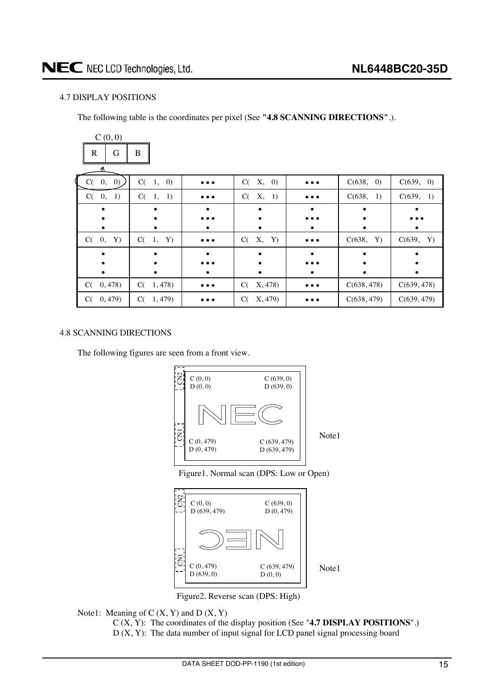#### <span id="page-14-0"></span>4.7 DISPLAY POSITIONS

The following table is the coordinates per pixel (See **"4.8 SCANNING DIRECTIONS"**.).

| C(0,0)                    |                              |                         |               |                         |             |             |
|---------------------------|------------------------------|-------------------------|---------------|-------------------------|-------------|-------------|
| G<br>R                    | B                            |                         |               |                         |             |             |
|                           |                              |                         |               |                         |             |             |
| $C(-0, 0)$                | $C(-1,$<br>$\left( 0\right)$ | $\bullet\bullet\bullet$ | X, 0)<br>C(   | $\bullet\bullet\bullet$ | C(638, 0)   | C(639, 0)   |
| $\mathbf{0},$<br>1)<br>C( | $C(-1, 1)$                   | $\bullet\bullet\bullet$ | C(<br>X, 1)   | $\bullet\bullet\bullet$ | C(638, 1)   | C(639, 1)   |
|                           |                              |                         |               |                         |             |             |
|                           |                              |                         |               |                         |             |             |
|                           |                              |                         | ٠             |                         |             |             |
| C(0, Y)                   | Y)<br>$C(-1,$                | $\bullet\bullet\bullet$ | X, Y)<br>C(   | $\bullet\bullet\bullet$ | C(638, Y)   | C(639, Y)   |
|                           |                              |                         |               |                         |             |             |
|                           |                              |                         |               |                         |             |             |
|                           |                              |                         |               |                         |             |             |
| 0,478)<br>C(              | 1,478)<br>C(                 | $\bullet\bullet\bullet$ | X, 478)<br>C( | $\bullet\bullet\bullet$ | C(638, 478) | C(639, 478) |
| 0,479<br>C(               | C(1, 479)                    |                         | X, 479)<br>C( |                         | C(638, 479) | C(639, 479) |

#### 4.8 SCANNING DIRECTIONS

The following figures are seen from a front view.







Figure2. Reverse scan (DPS: High)

Note1: Meaning of  $C(X, Y)$  and  $D(X, Y)$ 

C (X, Y): The coordinates of the display position (See "**4.7 DISPLAY POSITIONS**".)

 $D(X, Y)$ : The data number of input signal for LCD panel signal processing board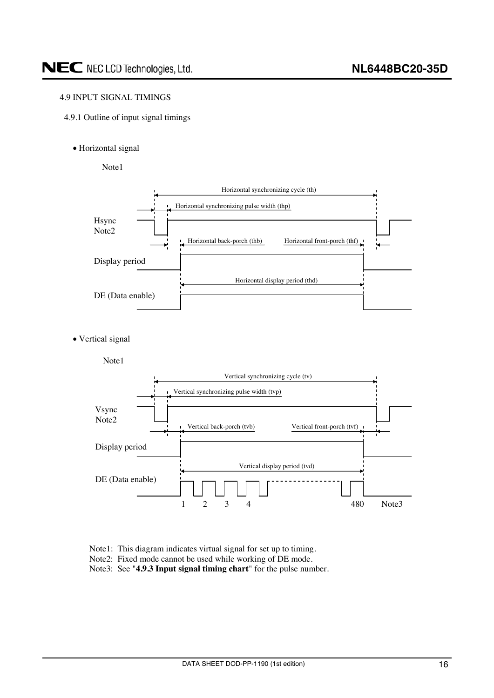#### <span id="page-15-0"></span>4.9 INPUT SIGNAL TIMINGS

- 4.9.1 Outline of input signal timings
	- Horizontal signal
		- Note1



• Vertical signal



- Note1: This diagram indicates virtual signal for set up to timing.
- Note2: Fixed mode cannot be used while working of DE mode.

Note3: See "**4.9.3 Input signal timing chart**" for the pulse number.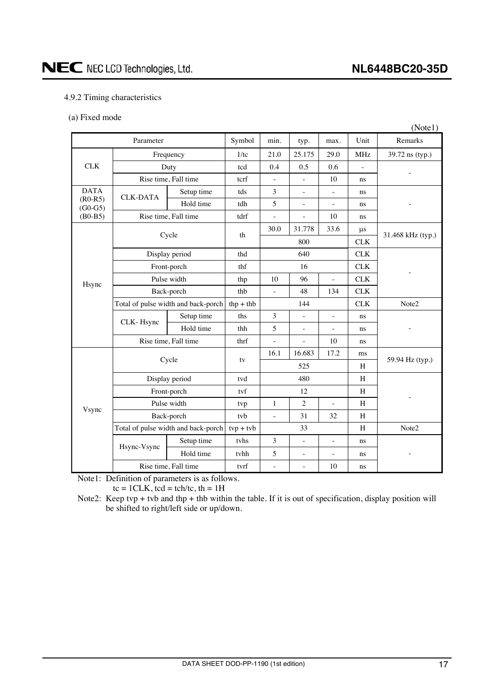### <span id="page-16-0"></span>NEC NEC LCD Technologies, Ltd.

#### 4.9.2 Timing characteristics

#### (a) Fixed mode

|                        |                                     |                                     |             |                          |                          |                          |             | (Note1)           |  |
|------------------------|-------------------------------------|-------------------------------------|-------------|--------------------------|--------------------------|--------------------------|-------------|-------------------|--|
| Parameter              |                                     |                                     | Symbol      | min.                     | typ.                     | max.                     | Unit        | Remarks           |  |
|                        | Frequency                           |                                     | 1/tc        | 21.0                     | 25.175                   | 29.0                     | <b>MHz</b>  | 39.72 ns (typ.)   |  |
| <b>CLK</b>             |                                     | Duty                                | tcd         | 0.4                      | 0.5                      | 0.6                      |             |                   |  |
|                        |                                     | Rise time, Fall time                | tcrf        | $\bar{a}$                | $\overline{a}$           | 10                       | ns          |                   |  |
| <b>DATA</b>            | <b>CLK-DATA</b>                     | Setup time                          | tds         | 3                        | $\frac{1}{2}$            | ÷,                       | ns          |                   |  |
| $(R0-R5)$<br>$(G0-G5)$ |                                     | Hold time                           | tdh         | 5                        | $\frac{1}{2}$            | $\bar{a}$                | ns          |                   |  |
| $(B0-B5)$              |                                     | Rise time, Fall time                | tdrf        | $\overline{a}$           | $\overline{a}$           | 10                       | ns          |                   |  |
|                        |                                     | Cycle                               | th          | 30.0                     | 31.778                   | 33.6                     | $\mu$ s     |                   |  |
|                        |                                     |                                     |             |                          | 800                      |                          | <b>CLK</b>  | 31.468 kHz (typ.) |  |
|                        |                                     | Display period                      | thd         |                          | 640                      |                          | <b>CLK</b>  |                   |  |
|                        |                                     | Front-porch                         | thf         |                          | 16                       |                          | ${\rm CLK}$ |                   |  |
| Hsync                  | Pulse width                         |                                     | thp         | 10                       | 96                       |                          | <b>CLK</b>  |                   |  |
|                        | Back-porch                          |                                     | thb         | $\overline{a}$           | 48                       | 134                      | <b>CLK</b>  |                   |  |
|                        | Total of pulse width and back-porch |                                     | $thp + thb$ | 144                      |                          |                          | <b>CLK</b>  | Note2             |  |
|                        | CLK-Hsync                           | Setup time                          | ths         | 3                        | $\overline{\phantom{0}}$ | $\blacksquare$           | ns          |                   |  |
|                        |                                     | Hold time                           | thh         | 5                        | $\overline{\phantom{0}}$ | $\overline{\phantom{a}}$ | ns          |                   |  |
|                        |                                     | Rise time, Fall time                | thrf        | $\overline{\phantom{a}}$ | $\frac{1}{2}$            | 10                       | ns          |                   |  |
|                        |                                     | Cycle                               |             | 16.1<br>16.683<br>17.2   |                          |                          | ms          | 59.94 Hz (typ.)   |  |
|                        |                                     |                                     | tv          |                          | 525                      |                          | H           |                   |  |
|                        | Display period                      |                                     | tvd         | 480                      |                          |                          | H           |                   |  |
|                        |                                     | Front-porch                         |             | 12                       |                          |                          | H           |                   |  |
| Vsync                  |                                     | Pulse width                         |             | $\mathbf{1}$             | $\overline{c}$           | ÷,                       | H           |                   |  |
|                        |                                     | Back-porch                          |             | $\overline{a}$           | 31                       | 32                       | H           |                   |  |
|                        |                                     | Total of pulse width and back-porch | $typ + tvb$ |                          | 33                       |                          | H           | Note2             |  |
|                        | Hsync-Vsync                         | Setup time                          | tvhs        | 3                        | $\overline{a}$           | ÷,                       | ns          |                   |  |
|                        |                                     | Hold time                           | tvhh        | 5                        | $\frac{1}{2}$            | $\overline{\phantom{a}}$ | ns          |                   |  |
|                        | Rise time, Fall time                |                                     | tvrf        | ä,                       | $\overline{a}$           | 10                       | ns          |                   |  |

Note1: Definition of parameters is as follows.

 $tc = 1CLK$ ,  $tcd = tch/tc$ ,  $th = 1H$ 

Note2: Keep tvp + tvb and thp + thb within the table. If it is out of specification, display position will be shifted to right/left side or up/down.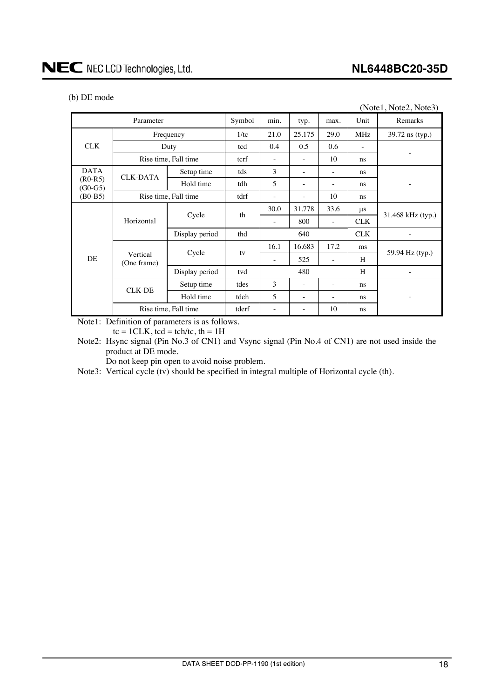-

#### (b) DE mode

DATA (R0-R5)  $(G0-G5)$ <br>(B0-B5)

|                      |                                            |                                        |                 |        |      |            | (Note1, Note2, Note3) |
|----------------------|--------------------------------------------|----------------------------------------|-----------------|--------|------|------------|-----------------------|
| Parameter            | Symbol                                     | min.                                   | typ.            | max.   | Unit | Remarks    |                       |
| Frequency            |                                            | 1/tc                                   | 21.0            | 25.175 | 29.0 | MHz        | 39.72 ns (typ.)       |
|                      | Duty                                       |                                        | 0.4             | 0.5    | 0.6  |            |                       |
| Rise time, Fall time |                                            | terf                                   |                 |        | 10   | ns         |                       |
|                      | Setup time                                 | tds                                    | 3               |        |      | ns         |                       |
|                      | Hold time                                  | tdh                                    | 5               | ۰      | ۰    | ns         |                       |
|                      |                                            | tdrf                                   |                 |        | 10   | ns         |                       |
| Horizontal           |                                            |                                        | 30.0            | 31.778 | 33.6 | $\mu$ s    | 31.468 kHz (typ.)     |
|                      |                                            |                                        | ٠               | 800    |      | CLK        |                       |
|                      | Display period                             | thd                                    |                 | 640    |      | <b>CLK</b> |                       |
|                      |                                            |                                        | 16.1            | 16.683 | 17.2 | ms         | 59.94 Hz (typ.)       |
|                      |                                            |                                        |                 | 525    |      | H          |                       |
|                      | <b>CLK-DATA</b><br>Vertical<br>(One frame) | Rise time, Fall time<br>Cycle<br>Cycle | tcd<br>th<br>tv |        |      |            |                       |

Display period tvd 480 H -

Hold time  $\left| \begin{array}{c} \text{tdeh} \\ \text{tdeh} \end{array} \right|$  5  $\left| \begin{array}{c} \text{-} \\ \text{-} \\ \text{-} \end{array} \right|$  ns

Note1: Definition of parameters is as follows.

 $tc = 1CLK$ ,  $tcd = tch/tc$ ,  $th = 1H$ 

Note2: Hsync signal (Pin No.3 of CN1) and Vsync signal (Pin No.4 of CN1) are not used inside the product at DE mode.

CLK-DE Setup time tdes  $3 - -$  ns

Rise time, Fall time  $\left| \begin{array}{ccc} \n \text{tderf} & - \n \end{array} \right|$  -  $\left| \begin{array}{ccc} - \n \end{array} \right|$  10 ns

Do not keep pin open to avoid noise problem.

Note3: Vertical cycle (tv) should be specified in integral multiple of Horizontal cycle (th).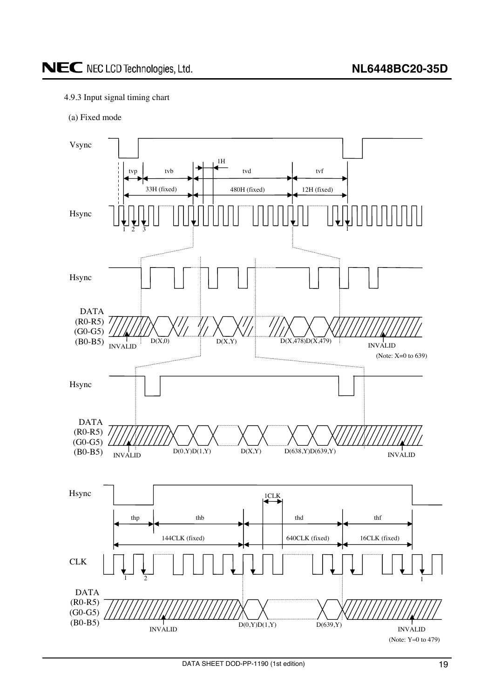#### <span id="page-18-0"></span>4.9.3 Input signal timing chart

(a) Fixed mode

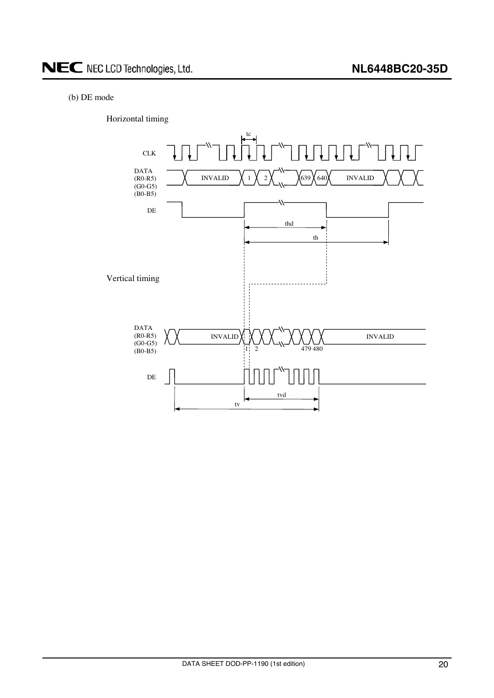#### (b) DE mode

Horizontal timing

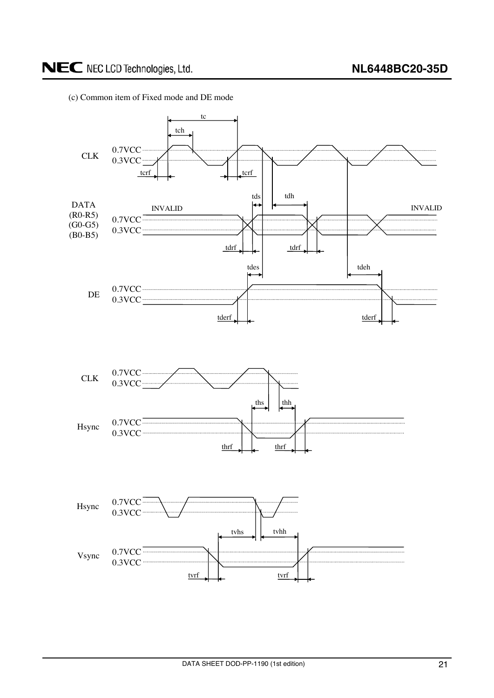(c) Common item of Fixed mode and DE mode

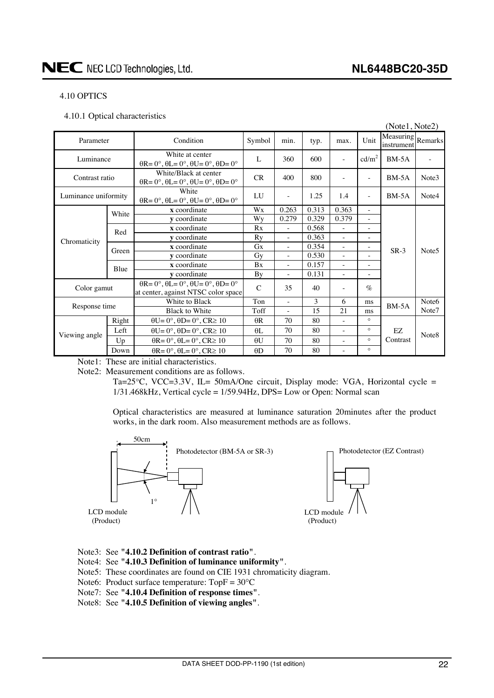#### <span id="page-21-0"></span>4.10 OPTICS

4.10.1 Optical characteristics

|                      |       |                                                                                                       |               |                                                     |                                   |                                                      |                          | (Note1, Note2)                  |                   |
|----------------------|-------|-------------------------------------------------------------------------------------------------------|---------------|-----------------------------------------------------|-----------------------------------|------------------------------------------------------|--------------------------|---------------------------------|-------------------|
| Parameter            |       | Condition                                                                                             | Symbol        | min.                                                | typ.                              | max.                                                 | Unit                     | Measuring Remarks<br>instrument |                   |
| Luminance            |       | White at center<br>$\theta$ R= 0°, $\theta$ L= 0°, $\theta$ U= 0°, $\theta$ D= 0°                     | L             | 360                                                 | 600                               | ٠                                                    | cd/m <sup>2</sup>        | $BM-5A$                         |                   |
| Contrast ratio       |       | White/Black at center<br>$\theta$ R= 0°, $\theta$ L= 0°, $\theta$ U= 0°, $\theta$ D= 0°               | CR            | 400                                                 | 800                               |                                                      | ÷,                       | $BM-5A$                         | Note3             |
| Luminance uniformity |       | White<br>$\theta$ R= 0°, $\theta$ L= 0°, $\theta$ U= 0°, $\theta$ D= 0°                               | LU            | $\overline{\phantom{a}}$                            | 1.25                              | 1.4                                                  | $\overline{\phantom{a}}$ | $BM-5A$                         | Note4             |
|                      | White | x coordinate                                                                                          | Wx            | 0.263                                               | 0.313                             | 0.363                                                | ÷.                       |                                 |                   |
|                      |       | y coordinate                                                                                          | Wy            | 0.329<br>0.279<br>0.379<br>$\overline{\phantom{a}}$ |                                   |                                                      |                          |                                 |                   |
|                      |       | x coordinate                                                                                          | Rx            | ÷.                                                  | 0.568<br>$\overline{\phantom{a}}$ | $\overline{\phantom{a}}$                             |                          |                                 |                   |
| Chromaticity         |       | Red<br>0.363<br>y coordinate<br>Ry<br>$\bar{a}$<br>$\sim$<br>$\overline{\phantom{a}}$                 |               |                                                     |                                   |                                                      |                          |                                 |                   |
|                      | Green | x coordinate                                                                                          | <b>Gx</b>     | $\overline{\phantom{a}}$                            | 0.354                             | ÷,                                                   | $\overline{\phantom{a}}$ | $SR-3$                          | Note <sub>5</sub> |
|                      |       | y coordinate                                                                                          | Gy            | $\overline{\phantom{a}}$                            | 0.530                             | ÷,                                                   | $\bar{\phantom{a}}$      |                                 |                   |
|                      | Blue  | x coordinate                                                                                          | <b>Bx</b>     | $\overline{\phantom{a}}$                            | 0.157                             | $\overline{\phantom{a}}$<br>$\overline{\phantom{a}}$ |                          |                                 |                   |
|                      |       | <b>v</b> coordinate                                                                                   | By            | $\sim$                                              | 0.131                             | ٠                                                    | $\bar{\phantom{a}}$      |                                 |                   |
| Color gamut          |       | $\theta$ R= 0°, $\theta$ L= 0°, $\theta$ U= 0°, $\theta$ D= 0°<br>at center, against NTSC color space | $\mathcal{C}$ | 35                                                  | 40                                |                                                      | $\%$                     |                                 |                   |
| Response time        |       | White to Black                                                                                        | Ton           | ×.                                                  | 3                                 | 6                                                    | ms                       | $BM-5A$                         | Note <sub>6</sub> |
|                      |       | <b>Black to White</b>                                                                                 | Toff          | ÷                                                   | 15                                | 21                                                   | ms                       |                                 | Note7             |
|                      | Right | $\theta U = 0^\circ$ , $\theta D = 0^\circ$ , $CR \ge 10$                                             | $\theta$ R    | 70                                                  | 80                                | ۰                                                    | $\circ$                  |                                 |                   |
| Viewing angle        | Left  | $\theta U = 0^\circ$ , $\theta D = 0^\circ$ , $CR \ge 10$                                             | $\theta L$    | 70                                                  | 80                                |                                                      | $\circ$                  | EZ                              | Note <sub>8</sub> |
|                      | Up    | $\theta$ R= 0°, $\theta$ L= 0°, CR≥ 10                                                                | $\theta$ U    | 70                                                  | 80                                | ۰                                                    | $\circ$                  | Contrast                        |                   |
|                      | Down  | $\theta$ R= 0°, $\theta$ L= 0°, CR≥ 10                                                                | $\theta$ D    | 70                                                  | 80                                | ä,                                                   | $\circ$                  |                                 |                   |

Note1: These are initial characteristics.

Note2: Measurement conditions are as follows.

Ta=25 $\degree$ C, VCC=3.3V, IL= 50mA/One circuit, Display mode: VGA, Horizontal cycle = 1/31.468kHz, Vertical cycle = 1/59.94Hz, DPS= Low or Open: Normal scan

Optical characteristics are measured at luminance saturation 20minutes after the product works, in the dark room. Also measurement methods are as follows.



- Note3: See **"4.10.2 Definition of contrast ratio"**.
- Note4: See **"4.10.3 Definition of luminance uniformity"**.
- Note5: These coordinates are found on CIE 1931 chromaticity diagram.
- Note6: Product surface temperature:  $TopF = 30^{\circ}C$
- Note7: See **"4.10.4 Definition of response times"**.
- Note8: See **"4.10.5 Definition of viewing angles"**.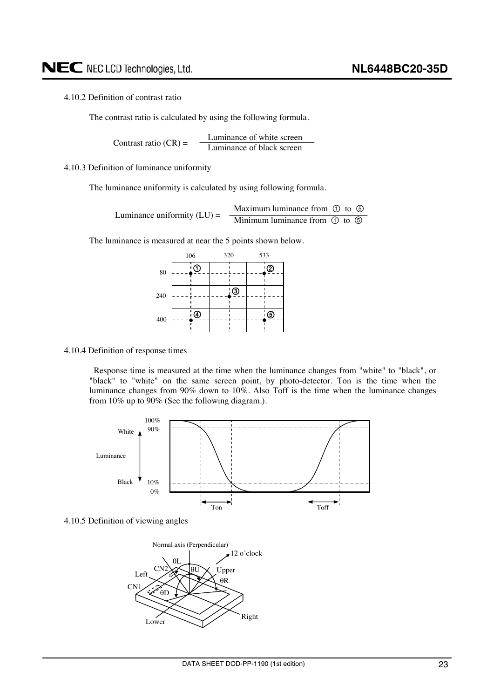#### <span id="page-22-0"></span>4.10.2 Definition of contrast ratio

The contrast ratio is calculated by using the following formula.

Luminance of white screen Contrast ratio  $(CR) =$  <u>Luminance of black screen</u>

4.10.3 Definition of luminance uniformity

The luminance uniformity is calculated by using following formula.

Luminance uniformity (LU) = 
$$
\frac{\text{Maximum luminance from ① to ⑤}}{\text{Minimum luminance from ④ to ⑤}}
$$

The luminance is measured at near the 5 points shown below.



#### 4.10.4 Definition of response times

Response time is measured at the time when the luminance changes from "white" to "black", or "black" to "white" on the same screen point, by photo-detector. Ton is the time when the luminance changes from 90% down to 10%. Also Toff is the time when the luminance changes from 10% up to 90% (See the following diagram.).





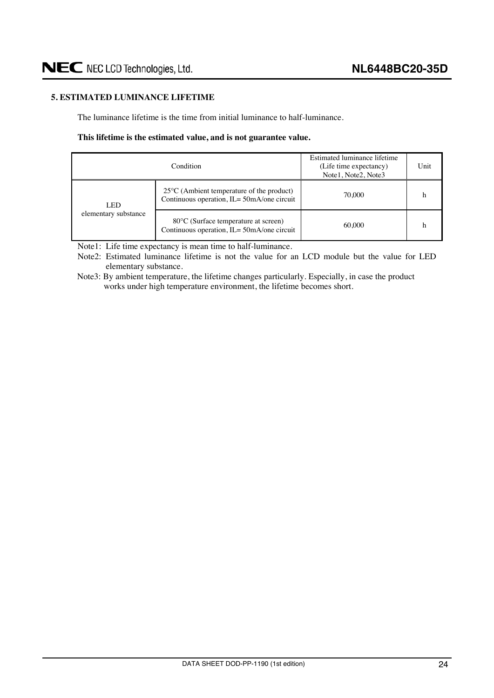#### <span id="page-23-0"></span>**5. ESTIMATED LUMINANCE LIFETIME**

The luminance lifetime is the time from initial luminance to half-luminance.

#### **This lifetime is the estimated value, and is not guarantee value.**

|                      | Condition                                                                                         | Estimated luminance lifetime<br>(Life time expectancy)<br>Note1, Note2, Note3 | Unit |
|----------------------|---------------------------------------------------------------------------------------------------|-------------------------------------------------------------------------------|------|
| LED                  | $25^{\circ}$ C (Ambient temperature of the product)<br>Continuous operation, IL= 50mA/one circuit | 70.000                                                                        |      |
| elementary substance | 80 °C (Surface temperature at screen)<br>Continuous operation, IL= 50mA/one circuit               | 60.000                                                                        |      |

Note1: Life time expectancy is mean time to half-luminance.

Note2: Estimated luminance lifetime is not the value for an LCD module but the value for LED elementary substance.

Note3: By ambient temperature, the lifetime changes particularly. Especially, in case the product works under high temperature environment, the lifetime becomes short.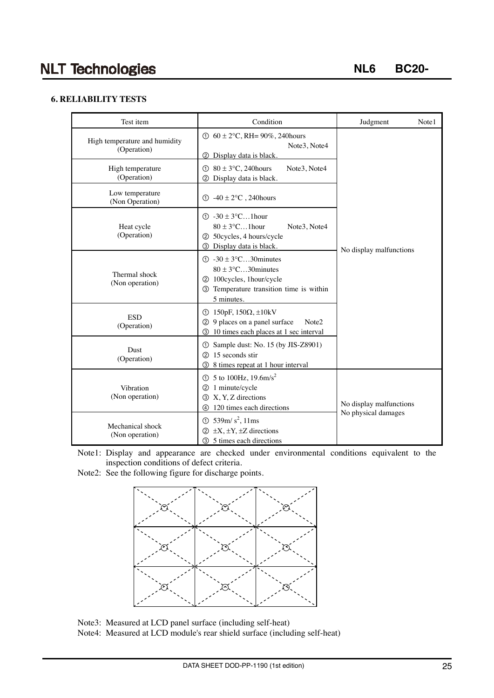## **NLT Technologies**

**NL6 BC20-**

#### **6. RELIABILITY TESTS**

| Test item                                                                                                                                                          | Condition                                                                                                                                                                | Judgment<br>Note1                              |  |  |
|--------------------------------------------------------------------------------------------------------------------------------------------------------------------|--------------------------------------------------------------------------------------------------------------------------------------------------------------------------|------------------------------------------------|--|--|
| High temperature and humidity<br>(Operation)                                                                                                                       | ① $60 \pm 2$ °C, RH= 90%, 240 hours<br>Note3, Note4<br>Display data is black.<br>(2)                                                                                     |                                                |  |  |
| High temperature<br>(Operation)                                                                                                                                    | $\textcircled{1}$ 80 ± 3°C, 240 hours<br>Note3, Note4<br>2 Display data is black.                                                                                        |                                                |  |  |
| Low temperature<br>(Non Operation)                                                                                                                                 | $\textcircled{1}$ -40 $\pm$ 2°C, 240 hours                                                                                                                               |                                                |  |  |
| Heat cycle<br>(Operation)                                                                                                                                          | $\textcircled{1}$ -30 ± 3°C1 hour<br>$80 \pm 3$ °C1 hour<br>Note3, Note4<br>2 50cycles, 4 hours/cycle<br>Display data is black.<br>3                                     | No display malfunctions                        |  |  |
| Thermal shock<br>(Non operation)                                                                                                                                   | $\textcircled{1}$ -30 ± 3 $\textcircled{C}$ 30 minutes<br>$80 \pm 3$ °C30 minutes<br>2 100 cycles, 1 hour/cycle<br>3 Temperature transition time is within<br>5 minutes. |                                                |  |  |
| <b>ESD</b><br>(Operation)                                                                                                                                          | $\textcircled{1}$ 150pF, 150 $\Omega$ , ±10kV<br>2 9 places on a panel surface<br>Note2<br>10 times each places at 1 sec interval<br>③                                   |                                                |  |  |
| Dust<br>(Operation)                                                                                                                                                | Sample dust: No. 15 (by JIS-Z8901)<br>(1)<br>15 seconds stir<br>(2)<br>8 times repeat at 1 hour interval<br>3                                                            |                                                |  |  |
| ① 5 to 100Hz, $19.6 \text{m/s}^2$<br>Vibration<br>2 1 minute/cycle<br>(Non operation)<br><b>3</b> X, Y, Z directions<br>120 times each directions<br>$\circled{4}$ |                                                                                                                                                                          | No display malfunctions<br>No physical damages |  |  |
| Mechanical shock<br>(Non operation)                                                                                                                                | $\circled{1}$ 539m/s <sup>2</sup> , 11ms<br>$\circled{2}$ ±X, ±Y, ±Z directions<br><b>3</b> 5 times each directions                                                      |                                                |  |  |

Note1: Display and appearance are checked under environmental conditions equivalent to the inspection conditions of defect criteria.

Note2: See the following figure for discharge points.



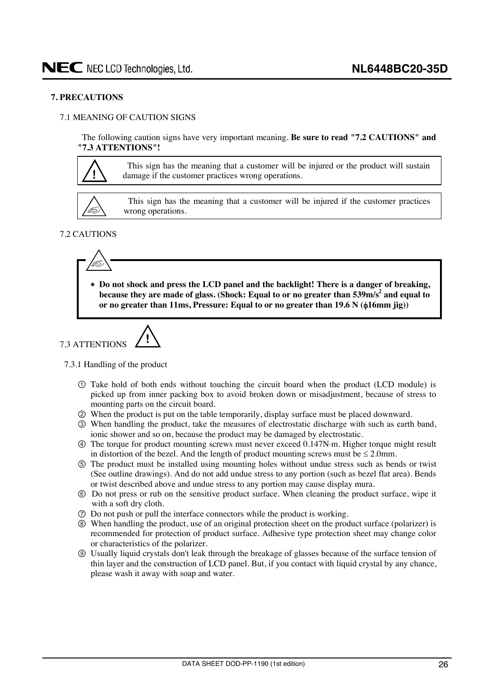#### <span id="page-25-0"></span>**7. PRECAUTIONS**

#### 7.1 MEANING OF CAUTION SIGNS

The following caution signs have very important meaning. **Be sure to read "7.2 CAUTIONS" and "7.3 ATTENTIONS"!** 



This sign has the meaning that a customer will be injured or the product will sustain damage if the customer practices wrong operations.



This sign has the meaning that a customer will be injured if the customer practices wrong operations.

#### 7.2 CAUTIONS



  **Do not shock and press the LCD panel and the backlight! There is a danger of breaking,**  because they are made of glass. (Shock: Equal to or no greater than 539m/s<sup>2</sup> and equal to **or no greater than 11ms, Pressure: Equal to or no greater than 19.6 N (** $\phi$ **16mm jig))** 

7.3 ATTENTIONS 
$$
\sqrt{!}
$$

#### 7.3.1 Handling of the product

- Take hold of both ends without touching the circuit board when the product (LCD module) is picked up from inner packing box to avoid broken down or misadjustment, because of stress to mounting parts on the circuit board.
- ཱ When the product is put on the table temporarily, display surface must be placed downward.
- ི When handling the product, take the measures of electrostatic discharge with such as earth band, ionic shower and so on, because the product may be damaged by electrostatic.
- ཱི The torque for product mounting screws must never exceed 0.147Nm. Higher torque might result in distortion of the bezel. And the length of product mounting screws must be  $\leq 2.0$ mm.
- ུ The product must be installed using mounting holes without undue stress such as bends or twist (See outline drawings). And do not add undue stress to any portion (such as bezel flat area). Bends or twist described above and undue stress to any portion may cause display mura.
- ཱུ Do not press or rub on the sensitive product surface. When cleaning the product surface, wipe it with a soft dry cloth.
- ྲྀ Do not push or pull the interface connectors while the product is working.
- ཷ When handling the product, use of an original protection sheet on the product surface (polarizer) is recommended for protection of product surface. Adhesive type protection sheet may change color or characteristics of the polarizer.
- ླྀ Usually liquid crystals don't leak through the breakage of glasses because of the surface tension of thin layer and the construction of LCD panel. But, if you contact with liquid crystal by any chance, please wash it away with soap and water.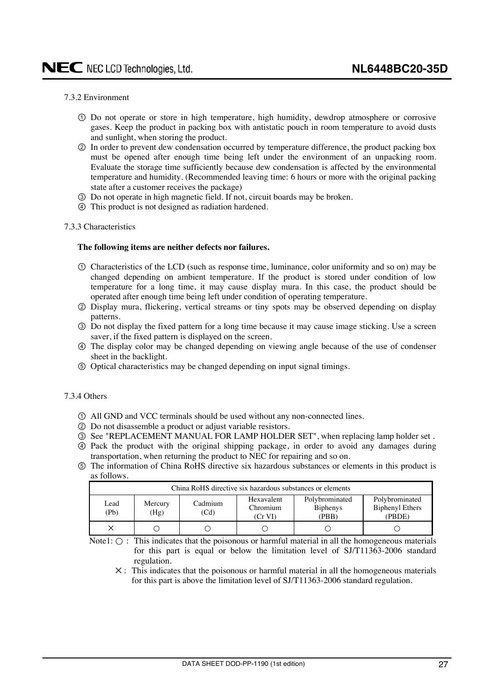#### <span id="page-26-0"></span>7.3.2 Environment

- Do not operate or store in high temperature, high humidity, dewdrop atmosphere or corrosive gases. Keep the product in packing box with antistatic pouch in room temperature to avoid dusts and sunlight, when storing the product.
- ཱ In order to prevent dew condensation occurred by temperature difference, the product packing box must be opened after enough time being left under the environment of an unpacking room. Evaluate the storage time sufficiently because dew condensation is affected by the environmental temperature and humidity. (Recommended leaving time: 6 hours or more with the original packing state after a customer receives the package)
- ི Do not operate in high magnetic field. If not, circuit boards may be broken.
- ཱི This product is not designed as radiation hardened.

#### 7.3.3 Characteristics

#### **The following items are neither defects nor failures.**

- Characteristics of the LCD (such as response time, luminance, color uniformity and so on) may be changed depending on ambient temperature. If the product is stored under condition of low temperature for a long time, it may cause display mura. In this case, the product should be operated after enough time being left under condition of operating temperature.
- ཱ Display mura, flickering, vertical streams or tiny spots may be observed depending on display patterns.
- ི Do not display the fixed pattern for a long time because it may cause image sticking. Use a screen saver, if the fixed pattern is displayed on the screen.
- ཱི The display color may be changed depending on viewing angle because of the use of condenser sheet in the backlight.
- ུ Optical characteristics may be changed depending on input signal timings.

#### 7.3.4 Others

- All GND and VCC terminals should be used without any non-connected lines.
- ཱ Do not disassemble a product or adjust variable resistors.
- $\circled{S}$  **See "REPLACEMENT MANUAL FOR LAMP HOLDER SET", when replacing lamp holder set.**
- ཱི Pack the product with the original shipping package, in order to avoid any damages during transportation, when returning the product to NEC for repairing and so on.
- ུ The information of China RoHS directive six hazardous substances or elements in this product is as follows.

| China RoHS directive six hazardous substances or elements |                 |                 |                                   |                                            |                                                    |  |  |  |
|-----------------------------------------------------------|-----------------|-----------------|-----------------------------------|--------------------------------------------|----------------------------------------------------|--|--|--|
| Lead<br>(Pb)                                              | Mercury<br>(Hg) | Cadmium<br>(Cd) | Hexavalent<br>Chromium<br>(Cr VI) | Polybrominated<br><b>Biphenys</b><br>(PBB) | Polybrominated<br><b>Biphenyl Ethers</b><br>(PBDE) |  |  |  |
|                                                           |                 |                 |                                   |                                            |                                                    |  |  |  |

Note1:  $\bigcirc$ : This indicates that the poisonous or harmful material in all the homogeneous materials for this part is equal or below the limitation level of SJ/T11363-2006 standard regulation.

 $X$ : This indicates that the poisonous or harmful material in all the homogeneous materials for this part is above the limitation level of SJ/T11363-2006 standard regulation.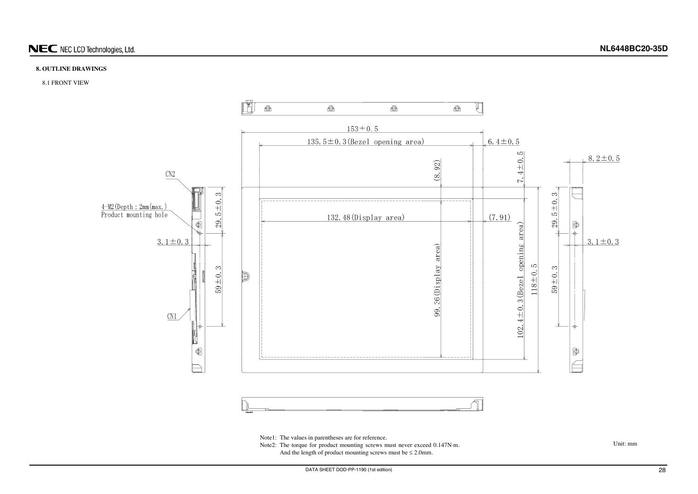#### <span id="page-27-0"></span>**8. OUTLINE DRAWINGS**

#### 8.1 FRONT VIEW



Note1: The values in parentheses are for reference.

Note2: The torque for product mounting screws must never exceed 0.147N·m. And the length of product mounting screws must be  $\leq 2.0$ mm.

Unit: mm